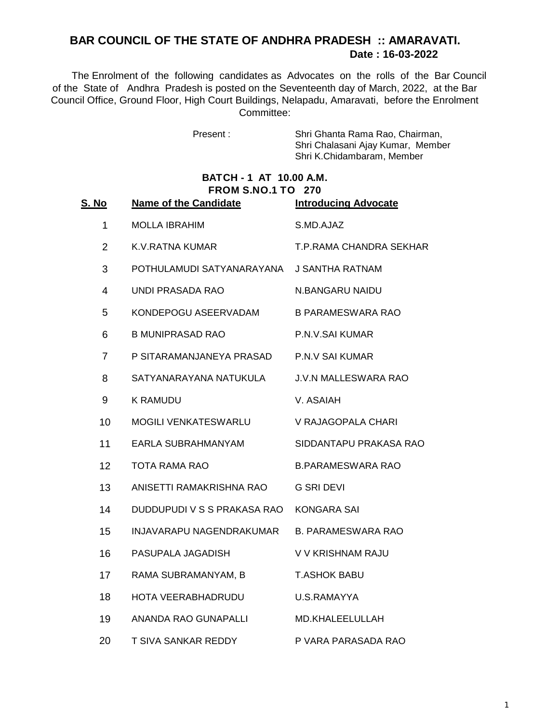# **Date : 16-03-2022 BAR COUNCIL OF THE STATE OF ANDHRA PRADESH :: AMARAVATI.**

 The Enrolment of the following candidates as Advocates on the rolls of the Bar Council of the State of Andhra Pradesh is posted on the Seventeenth day of March, 2022, at the Bar Council Office, Ground Floor, High Court Buildings, Nelapadu, Amaravati, before the Enrolment Committee:

Present : Shri Ghanta Rama Rao, Chairman, Shri Chalasani Ajay Kumar, Member Shri K.Chidambaram, Member

### **BATCH - 1 AT 10.00 A.M. FROM S.NO.1 TO 270**

| S. No          | <b>Name of the Candidate</b> | <b>Introducing Advocate</b> |
|----------------|------------------------------|-----------------------------|
| $\mathbf 1$    | <b>MOLLA IBRAHIM</b>         | S.MD.AJAZ                   |
| $\overline{2}$ | K.V. RATNA KUMAR             | T.P.RAMA CHANDRA SEKHAR     |
| 3              | POTHULAMUDI SATYANARAYANA    | <b>J SANTHA RATNAM</b>      |
| 4              | <b>UNDI PRASADA RAO</b>      | N.BANGARU NAIDU             |
| 5              | KONDEPOGU ASEERVADAM         | <b>B PARAMESWARA RAO</b>    |
| 6              | <b>B MUNIPRASAD RAO</b>      | P.N.V.SAI KUMAR             |
| $\overline{7}$ | P SITARAMANJANEYA PRASAD     | <b>P.N.V SAI KUMAR</b>      |
| 8              | SATYANARAYANA NATUKULA       | <b>J.V.N MALLESWARA RAO</b> |
| 9              | <b>K RAMUDU</b>              | V. ASAIAH                   |
| 10             | MOGILI VENKATESWARLU         | V RAJAGOPALA CHARI          |
| 11             | EARLA SUBRAHMANYAM           | SIDDANTAPU PRAKASA RAO      |
| 12             | <b>TOTA RAMA RAO</b>         | <b>B.PARAMESWARA RAO</b>    |
| 13             | ANISETTI RAMAKRISHNA RAO     | <b>G SRI DEVI</b>           |
| 14             | DUDDUPUDI V S S PRAKASA RAO  | KONGARA SAI                 |
| 15             | INJAVARAPU NAGENDRAKUMAR     | <b>B. PARAMESWARA RAO</b>   |
| 16             | PASUPALA JAGADISH            | V V KRISHNAM RAJU           |
| 17             | RAMA SUBRAMANYAM, B          | <b>T.ASHOK BABU</b>         |
| 18             | HOTA VEERABHADRUDU           | U.S.RAMAYYA                 |
| 19             | ANANDA RAO GUNAPALLI         | MD.KHALEELULLAH             |
| 20             | T SIVA SANKAR REDDY          | P VARA PARASADA RAO         |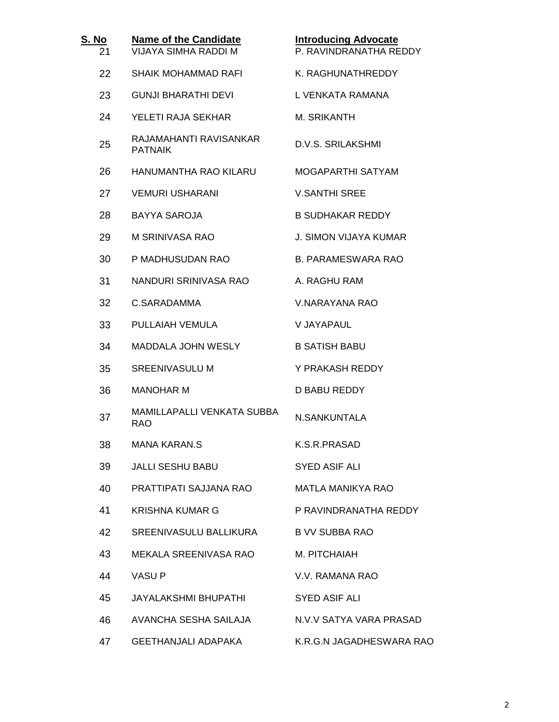| S. No<br>21 | <b>Name of the Candidate</b><br><b>VIJAYA SIMHA RADDI M</b> | <b>Introducing Advocate</b><br>P. RAVINDRANATHA REDDY |
|-------------|-------------------------------------------------------------|-------------------------------------------------------|
| 22          | SHAIK MOHAMMAD RAFI                                         | K. RAGHUNATHREDDY                                     |
| 23          | <b>GUNJI BHARATHI DEVI</b>                                  | L VENKATA RAMANA                                      |
| 24          | YELETI RAJA SEKHAR                                          | M. SRIKANTH                                           |
| 25          | RAJAMAHANTI RAVISANKAR<br><b>PATNAIK</b>                    | D.V.S. SRILAKSHMI                                     |
| 26          | HANUMANTHA RAO KILARU                                       | MOGAPARTHI SATYAM                                     |
| 27          | <b>VEMURI USHARANI</b>                                      | <b>V.SANTHI SREE</b>                                  |
| 28          | BAYYA SAROJA                                                | <b>B SUDHAKAR REDDY</b>                               |
| 29          | M SRINIVASA RAO                                             | <b>J. SIMON VIJAYA KUMAR</b>                          |
| 30          | P MADHUSUDAN RAO                                            | <b>B. PARAMESWARA RAO</b>                             |
| 31          | NANDURI SRINIVASA RAO                                       | A. RAGHU RAM                                          |
| 32          | C.SARADAMMA                                                 | V.NARAYANA RAO                                        |
| 33          | PULLAIAH VEMULA                                             | V JAYAPAUL                                            |
| 34          | MADDALA JOHN WESLY                                          | <b>B SATISH BABU</b>                                  |
| 35          | <b>SREENIVASULU M</b>                                       | Y PRAKASH REDDY                                       |
| 36          | <b>MANOHAR M</b>                                            | D BABU REDDY                                          |
| 37          | <b>MAMILLAPALLI VENKATA SUBBA</b><br><b>RAO</b>             | N.SANKUNTALA                                          |
| 38          | <b>MANA KARAN.S</b>                                         | K.S.R.PRASAD                                          |
| 39          | <b>JALLI SESHU BABU</b>                                     | <b>SYED ASIF ALI</b>                                  |
| 40          | PRATTIPATI SAJJANA RAO                                      | <b>MATLA MANIKYA RAO</b>                              |
| 41          | <b>KRISHNA KUMAR G</b>                                      | P RAVINDRANATHA REDDY                                 |
| 42          | SREENIVASULU BALLIKURA                                      | <b>B VV SUBBA RAO</b>                                 |
| 43          | MEKALA SREENIVASA RAO                                       | M. PITCHAIAH                                          |
| 44          | VASU P                                                      | V.V. RAMANA RAO                                       |
| 45          | JAYALAKSHMI BHUPATHI                                        | <b>SYED ASIF ALI</b>                                  |
| 46          | AVANCHA SESHA SAILAJA                                       | N.V.V SATYA VARA PRASAD                               |
| 47          | <b>GEETHANJALI ADAPAKA</b>                                  | K.R.G.N JAGADHESWARA RAO                              |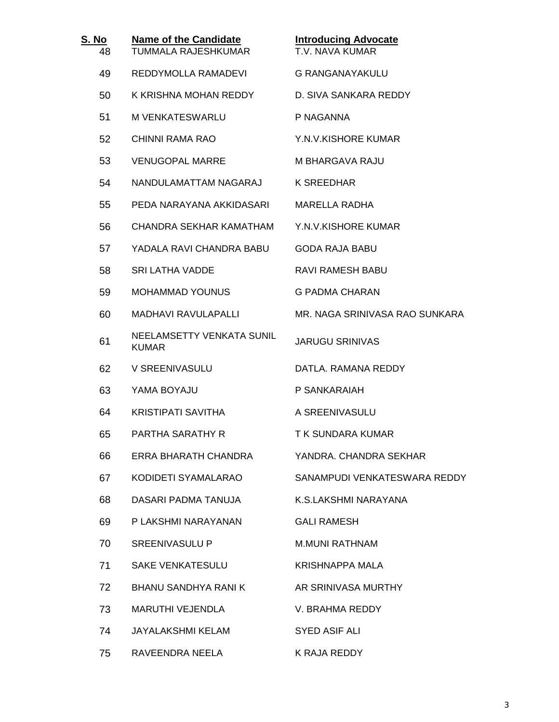| S. No<br>48 | <b>Name of the Candidate</b><br><b>TUMMALA RAJESHKUMAR</b> | <b>Introducing Advocate</b><br>T.V. NAVA KUMAR |
|-------------|------------------------------------------------------------|------------------------------------------------|
| 49          | REDDYMOLLA RAMADEVI                                        | <b>G RANGANAYAKULU</b>                         |
| 50          | K KRISHNA MOHAN REDDY                                      | D. SIVA SANKARA REDDY                          |
| 51          | M VENKATESWARLU                                            | P NAGANNA                                      |
| 52          | CHINNI RAMA RAO                                            | Y.N.V.KISHORE KUMAR                            |
| 53          | <b>VENUGOPAL MARRE</b>                                     | M BHARGAVA RAJU                                |
| 54          | NANDULAMATTAM NAGARAJ                                      | K SREEDHAR                                     |
| 55          | PEDA NARAYANA AKKIDASARI                                   | <b>MARELLA RADHA</b>                           |
| 56          | CHANDRA SEKHAR KAMATHAM                                    | Y.N.V.KISHORE KUMAR                            |
| 57          | YADALA RAVI CHANDRA BABU                                   | <b>GODA RAJA BABU</b>                          |
| 58          | <b>SRI LATHA VADDE</b>                                     | <b>RAVI RAMESH BABU</b>                        |
| 59          | <b>MOHAMMAD YOUNUS</b>                                     | <b>G PADMA CHARAN</b>                          |
| 60          | <b>MADHAVI RAVULAPALLI</b>                                 | MR. NAGA SRINIVASA RAO SUNKARA                 |
| 61          | NEELAMSETTY VENKATA SUNIL<br><b>KUMAR</b>                  | <b>JARUGU SRINIVAS</b>                         |
| 62          | V SREENIVASULU                                             | DATLA, RAMANA REDDY                            |
| 63          | YAMA BOYAJU                                                | P SANKARAIAH                                   |
| 64          | <b>KRISTIPATI SAVITHA</b>                                  | A SREENIVASULU                                 |
| 65          | PARTHA SARATHY R                                           | T K SUNDARA KUMAR                              |
| 66          | ERRA BHARATH CHANDRA                                       | YANDRA, CHANDRA SEKHAR                         |
| 67          | KODIDETI SYAMALARAO                                        | SANAMPUDI VENKATESWARA REDDY                   |
| 68          | DASARI PADMA TANUJA                                        | K.S.LAKSHMI NARAYANA                           |
| 69          | P LAKSHMI NARAYANAN                                        | <b>GALI RAMESH</b>                             |
| 70          | <b>SREENIVASULU P</b>                                      | <b>M.MUNI RATHNAM</b>                          |
| 71          | <b>SAKE VENKATESULU</b>                                    | KRISHNAPPA MALA                                |
| 72          | <b>BHANU SANDHYA RANI K</b>                                | AR SRINIVASA MURTHY                            |
| 73          | MARUTHI VEJENDLA                                           | V. BRAHMA REDDY                                |
| 74          | <b>JAYALAKSHMI KELAM</b>                                   | SYED ASIF ALI                                  |
| 75          | RAVEENDRA NEELA                                            | K RAJA REDDY                                   |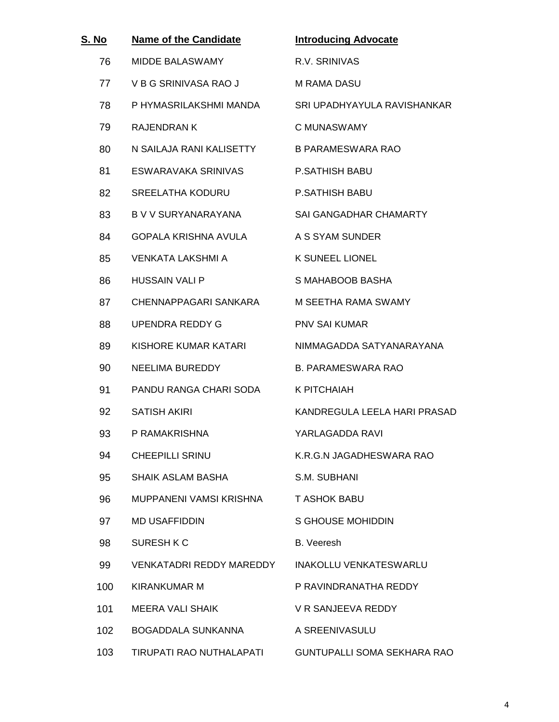| S. No | <b>Name of the Candidate</b> | <b>Introducing Advocate</b>   |
|-------|------------------------------|-------------------------------|
| 76    | <b>MIDDE BALASWAMY</b>       | R.V. SRINIVAS                 |
| 77    | V B G SRINIVASA RAO J        | M RAMA DASU                   |
| 78    | P HYMASRILAKSHMI MANDA       | SRI UPADHYAYULA RAVISHANKAR   |
| 79    | <b>RAJENDRAN K</b>           | C MUNASWAMY                   |
| 80    | N SAILAJA RANI KALISETTY     | <b>B PARAMESWARA RAO</b>      |
| 81    | ESWARAVAKA SRINIVAS          | <b>P.SATHISH BABU</b>         |
| 82    | <b>SREELATHA KODURU</b>      | <b>P.SATHISH BABU</b>         |
| 83    | B V V SURYANARAYANA          | <b>SAI GANGADHAR CHAMARTY</b> |
| 84    | <b>GOPALA KRISHNA AVULA</b>  | A S SYAM SUNDER               |
| 85    | VENKATA LAKSHMI A            | <b>K SUNEEL LIONEL</b>        |
| 86    | <b>HUSSAIN VALI P</b>        | S MAHABOOB BASHA              |
| 87    | CHENNAPPAGARI SANKARA        | M SEETHA RAMA SWAMY           |
| 88    | UPENDRA REDDY G              | <b>PNV SAI KUMAR</b>          |
| 89    | KISHORE KUMAR KATARI         | NIMMAGADDA SATYANARAYANA      |
| 90    | <b>NEELIMA BUREDDY</b>       | <b>B. PARAMESWARA RAO</b>     |
| 91    | PANDU RANGA CHARI SODA       | K PITCHAIAH                   |
| 92    | <b>SATISH AKIRI</b>          | KANDREGULA LEELA HARI PRASAD  |
| 93    | P RAMAKRISHNA                | YARLAGADDA RAVI               |
| 94    | <b>CHEEPILLI SRINU</b>       | K.R.G.N JAGADHESWARA RAO      |
| 95    | <b>SHAIK ASLAM BASHA</b>     | S.M. SUBHANI                  |
| 96    | MUPPANENI VAMSI KRISHNA      | <b>T ASHOK BABU</b>           |
| 97    | <b>MD USAFFIDDIN</b>         | <b>S GHOUSE MOHIDDIN</b>      |
| 98    | SURESH K C                   | <b>B.</b> Veeresh             |
| 99    | VENKATADRI REDDY MAREDDY     | INAKOLLU VENKATESWARLU        |
| 100   | KIRANKUMAR M                 | P RAVINDRANATHA REDDY         |
| 101   | <b>MEERA VALI SHAIK</b>      | V R SANJEEVA REDDY            |
| 102   | BOGADDALA SUNKANNA           | A SREENIVASULU                |
| 103   | TIRUPATI RAO NUTHALAPATI     | GUNTUPALLI SOMA SEKHARA RAO   |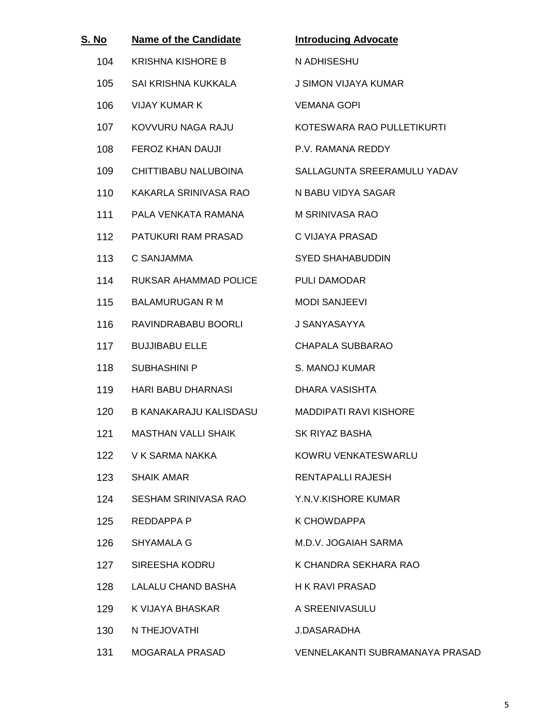| S. No            | <b>Name of the Candidate</b> | <b>Introducing Advocate</b>     |
|------------------|------------------------------|---------------------------------|
| 104              | <b>KRISHNA KISHORE B</b>     | N ADHISESHU                     |
| 105              | SAI KRISHNA KUKKALA          | <b>J SIMON VIJAYA KUMAR</b>     |
| 106              | <b>VIJAY KUMAR K</b>         | <b>VEMANA GOPI</b>              |
| 107              | KOVVURU NAGA RAJU            | KOTESWARA RAO PULLETIKURTI      |
| 108              | FEROZ KHAN DAUJI             | P.V. RAMANA REDDY               |
| 109              | CHITTIBABU NALUBOINA         | SALLAGUNTA SREERAMULU YADAV     |
| 110              | KAKARLA SRINIVASA RAO        | N BABU VIDYA SAGAR              |
| 111              | PALA VENKATA RAMANA          | M SRINIVASA RAO                 |
| 112              | PATUKURI RAM PRASAD          | C VIJAYA PRASAD                 |
| 113              | C SANJAMMA                   | <b>SYED SHAHABUDDIN</b>         |
| 114              | RUKSAR AHAMMAD POLICE        | <b>PULI DAMODAR</b>             |
| 115              | <b>BALAMURUGAN R M</b>       | <b>MODI SANJEEVI</b>            |
| 116              | RAVINDRABABU BOORLI          | J SANYASAYYA                    |
| 117              | <b>BUJJIBABU ELLE</b>        | <b>CHAPALA SUBBARAO</b>         |
| 118              | <b>SUBHASHINI P</b>          | S. MANOJ KUMAR                  |
| 119              | HARI BABU DHARNASI           | DHARA VASISHTA                  |
| 120 <sub>1</sub> | B KANAKARAJU KALISDASU       | <b>MADDIPATI RAVI KISHORE</b>   |
| 121              | <b>MASTHAN VALLI SHAIK</b>   | <b>SK RIYAZ BASHA</b>           |
| 122              | V K SARMA NAKKA              | KOWRU VENKATESWARLU             |
| 123              | <b>SHAIK AMAR</b>            | <b>RENTAPALLI RAJESH</b>        |
| 124              | <b>SESHAM SRINIVASA RAO</b>  | Y.N.V.KISHORE KUMAR             |
| 125              | REDDAPPA P                   | K CHOWDAPPA                     |
| 126              | SHYAMALA G                   | M.D.V. JOGAIAH SARMA            |
| 127              | SIREESHA KODRU               | K CHANDRA SEKHARA RAO           |
| 128              | LALALU CHAND BASHA           | <b>H K RAVI PRASAD</b>          |
| 129              | K VIJAYA BHASKAR             | A SREENIVASULU                  |
| 130              | N THEJOVATHI                 | J.DASARADHA                     |
| 131              | MOGARALA PRASAD              | VENNELAKANTI SUBRAMANAYA PRASAD |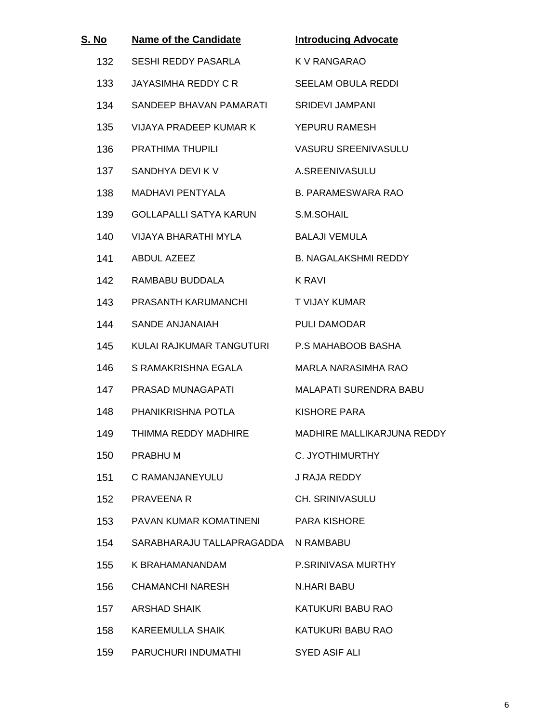| S. No | <b>Name of the Candidate</b> | <b>Introducing Advocate</b> |
|-------|------------------------------|-----------------------------|
| 132   | SESHI REDDY PASARLA          | K V RANGARAO                |
| 133   | JAYASIMHA REDDY C R          | <b>SEELAM OBULA REDDI</b>   |
| 134   | SANDEEP BHAVAN PAMARATI      | <b>SRIDEVI JAMPANI</b>      |
| 135   | VIJAYA PRADEEP KUMAR K       | YEPURU RAMESH               |
| 136   | <b>PRATHIMA THUPILI</b>      | <b>VASURU SREENIVASULU</b>  |
| 137   | SANDHYA DEVI K V             | A.SREENIVASULU              |
| 138   | <b>MADHAVI PENTYALA</b>      | <b>B. PARAMESWARA RAO</b>   |
| 139   | GOLLAPALLI SATYA KARUN       | S.M.SOHAIL                  |
| 140   | VIJAYA BHARATHI MYLA         | <b>BALAJI VEMULA</b>        |
| 141   | ABDUL AZEEZ                  | <b>B. NAGALAKSHMI REDDY</b> |
| 142   | RAMBABU BUDDALA              | K RAVI                      |
| 143   | PRASANTH KARUMANCHI          | T VIJAY KUMAR               |
| 144   | SANDE ANJANAIAH              | PULI DAMODAR                |
| 145   | KULAI RAJKUMAR TANGUTURI     | P.S MAHABOOB BASHA          |
| 146   | S RAMAKRISHNA EGALA          | MARLA NARASIMHA RAO         |
| 147   | PRASAD MUNAGAPATI            | MALAPATI SURENDRA BABU      |
| 148   | PHANIKRISHNA POTLA           | KISHORE PARA                |
| 149   | THIMMA REDDY MADHIRE         | MADHIRE MALLIKARJUNA REDDY  |
| 150   | PRABHU M                     | C. JYOTHIMURTHY             |
| 151   | C RAMANJANEYULU              | J RAJA REDDY                |
| 152   | <b>PRAVEENA R</b>            | <b>CH. SRINIVASULU</b>      |
| 153   | PAVAN KUMAR KOMATINENI       | <b>PARA KISHORE</b>         |
| 154   | SARABHARAJU TALLAPRAGADDA    | N RAMBABU                   |
| 155   | K BRAHAMANANDAM              | P.SRINIVASA MURTHY          |
| 156   | <b>CHAMANCHI NARESH</b>      | N.HARI BABU                 |
| 157   | ARSHAD SHAIK                 | KATUKURI BABU RAO           |
| 158   | KAREEMULLA SHAIK             | KATUKURI BABU RAO           |
| 159   | PARUCHURI INDUMATHI          | <b>SYED ASIF ALI</b>        |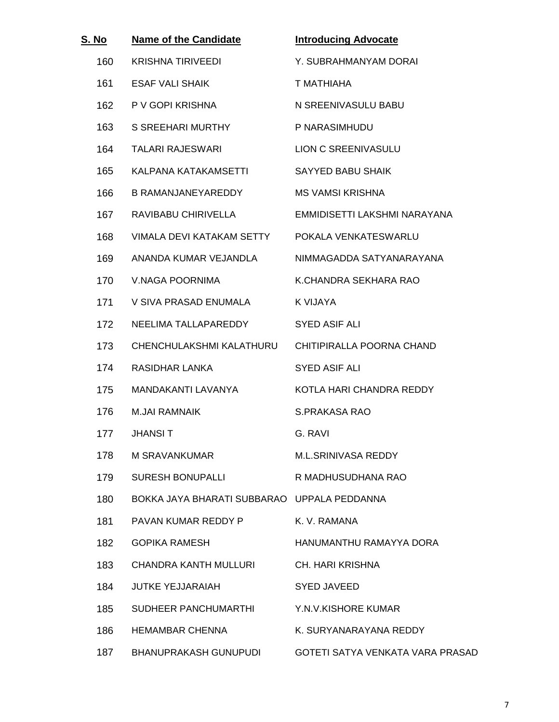| S. No | <b>Name of the Candidate</b>                | <b>Introducing Advocate</b>      |
|-------|---------------------------------------------|----------------------------------|
| 160   | <b>KRISHNA TIRIVEEDI</b>                    | Y. SUBRAHMANYAM DORAI            |
| 161   | <b>ESAF VALI SHAIK</b>                      | T MATHIAHA                       |
| 162   | P V GOPI KRISHNA                            | N SREENIVASULU BABU              |
| 163   | S SREEHARI MURTHY                           | P NARASIMHUDU                    |
| 164   | <b>TALARI RAJESWARI</b>                     | LION C SREENIVASULU              |
| 165   | KALPANA KATAKAMSETTI                        | <b>SAYYED BABU SHAIK</b>         |
| 166   | B RAMANJANEYAREDDY                          | <b>MS VAMSI KRISHNA</b>          |
| 167   | RAVIBABU CHIRIVELLA                         | EMMIDISETTI LAKSHMI NARAYANA     |
| 168   | VIMALA DEVI KATAKAM SETTY                   | POKALA VENKATESWARLU             |
| 169   | ANANDA KUMAR VEJANDLA                       | NIMMAGADDA SATYANARAYANA         |
| 170   | V.NAGA POORNIMA                             | K.CHANDRA SEKHARA RAO            |
| 171   | V SIVA PRASAD ENUMALA                       | K VIJAYA                         |
| 172   | NEELIMA TALLAPAREDDY                        | <b>SYED ASIF ALI</b>             |
| 173   | CHENCHULAKSHMI KALATHURU                    | CHITIPIRALLA POORNA CHAND        |
| 174   | RASIDHAR LANKA                              | SYED ASIF ALI                    |
| 175   | MANDAKANTI LAVANYA                          | KOTLA HARI CHANDRA REDDY         |
| 176   | M.JAI RAMNAIK                               | S.PRAKASA RAO                    |
| 177   | <b>JHANSIT</b>                              | G. RAVI                          |
| 178   | M SRAVANKUMAR                               | M.L.SRINIVASA REDDY              |
| 179   | <b>SURESH BONUPALLI</b>                     | R MADHUSUDHANA RAO               |
| 180   | BOKKA JAYA BHARATI SUBBARAO UPPALA PEDDANNA |                                  |
| 181   | PAVAN KUMAR REDDY P                         | K. V. RAMANA                     |
| 182   | <b>GOPIKA RAMESH</b>                        | HANUMANTHU RAMAYYA DORA          |
| 183   | CHANDRA KANTH MULLURI                       | <b>CH. HARI KRISHNA</b>          |
| 184   | <b>JUTKE YEJJARAIAH</b>                     | SYED JAVEED                      |
| 185   | SUDHEER PANCHUMARTHI                        | Y.N.V.KISHORE KUMAR              |
| 186   | <b>HEMAMBAR CHENNA</b>                      | K. SURYANARAYANA REDDY           |
| 187   | BHANUPRAKASH GUNUPUDI                       | GOTETI SATYA VENKATA VARA PRASAD |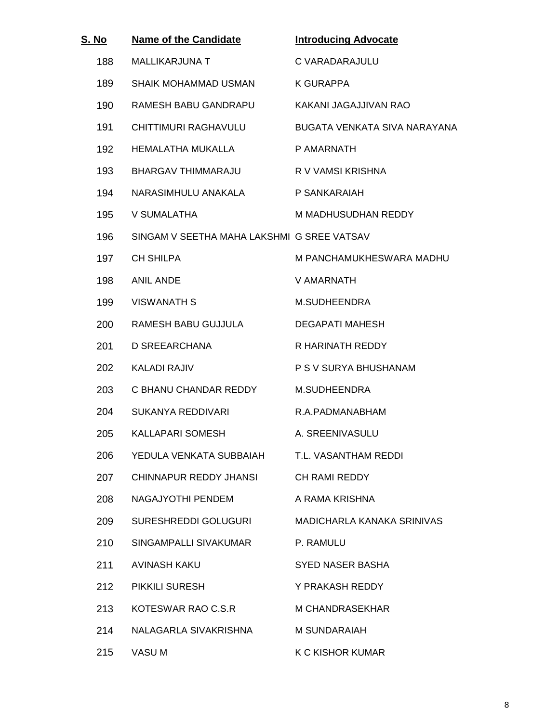| S. No | <b>Name of the Candidate</b>               | <b>Introducing Advocate</b>  |
|-------|--------------------------------------------|------------------------------|
| 188   | <b>MALLIKARJUNA T</b>                      | C VARADARAJULU               |
| 189   | SHAIK MOHAMMAD USMAN                       | <b>K GURAPPA</b>             |
| 190   | RAMESH BABU GANDRAPU                       | KAKANI JAGAJJIVAN RAO        |
| 191   | CHITTIMURI RAGHAVULU                       | BUGATA VENKATA SIVA NARAYANA |
| 192   | HEMALATHA MUKALLA                          | P AMARNATH                   |
| 193   | BHARGAV THIMMARAJU                         | R V VAMSI KRISHNA            |
| 194   | NARASIMHULU ANAKALA                        | P SANKARAIAH                 |
| 195   | V SUMALATHA                                | M MADHUSUDHAN REDDY          |
| 196   | SINGAM V SEETHA MAHA LAKSHMI G SREE VATSAV |                              |
| 197   | <b>CH SHILPA</b>                           | M PANCHAMUKHESWARA MADHU     |
| 198   | <b>ANIL ANDE</b>                           | V AMARNATH                   |
| 199   | <b>VISWANATH S</b>                         | <b>M.SUDHEENDRA</b>          |
| 200   | RAMESH BABU GUJJULA                        | <b>DEGAPATI MAHESH</b>       |
| 201   | D SREEARCHANA                              | R HARINATH REDDY             |
| 202   | <b>KALADI RAJIV</b>                        | P S V SURYA BHUSHANAM        |
| 203   | C BHANU CHANDAR REDDY                      | M.SUDHEENDRA                 |
| 204   | <b>SUKANYA REDDIVARI</b>                   | R.A.PADMANABHAM              |
| 205   | <b>KALLAPARI SOMESH</b>                    | A. SREENIVASULU              |
| 206   | YEDULA VENKATA SUBBAIAH                    | T.L. VASANTHAM REDDI         |
| 207   | CHINNAPUR REDDY JHANSI                     | <b>CH RAMI REDDY</b>         |
| 208   | NAGAJYOTHI PENDEM                          | A RAMA KRISHNA               |
| 209   | SURESHREDDI GOLUGURI                       | MADICHARLA KANAKA SRINIVAS   |
| 210   | SINGAMPALLI SIVAKUMAR                      | P. RAMULU                    |
| 211   | AVINASH KAKU                               | SYED NASER BASHA             |
| 212   | PIKKILI SURESH                             | Y PRAKASH REDDY              |
| 213   | KOTESWAR RAO C.S.R                         | M CHANDRASEKHAR              |
| 214   | NALAGARLA SIVAKRISHNA                      | M SUNDARAIAH                 |
| 215   | VASU M                                     | K C KISHOR KUMAR             |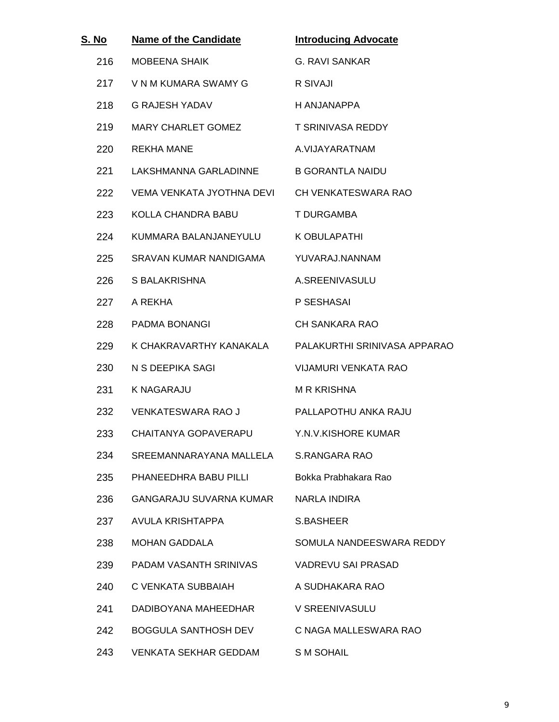| S. No | <b>Name of the Candidate</b>                  | <b>Introducing Advocate</b>                          |
|-------|-----------------------------------------------|------------------------------------------------------|
| 216   | <b>MOBEENA SHAIK</b>                          | <b>G. RAVI SANKAR</b>                                |
| 217   | V N M KUMARA SWAMY G                          | R SIVAJI                                             |
| 218   | <b>G RAJESH YADAV</b>                         | H ANJANAPPA                                          |
| 219   | MARY CHARLET GOMEZ                            | T SRINIVASA REDDY                                    |
| 220   | <b>REKHA MANE</b>                             | A.VIJAYARATNAM                                       |
| 221   | LAKSHMANNA GARLADINNE B GORANTLA NAIDU        |                                                      |
| 222   | VEMA VENKATA JYOTHNA DEVI CH VENKATESWARA RAO |                                                      |
| 223   | KOLLA CHANDRA BABU                            | T DURGAMBA                                           |
| 224   | KUMMARA BALANJANEYULU                         | K OBULAPATHI                                         |
| 225   | SRAVAN KUMAR NANDIGAMA                        | YUVARAJ.NANNAM                                       |
| 226   | S BALAKRISHNA                                 | A.SREENIVASULU                                       |
| 227   | A REKHA                                       | P SESHASAI                                           |
| 228   | PADMA BONANGI                                 | <b>CH SANKARA RAO</b>                                |
| 229   |                                               | K CHAKRAVARTHY KANAKALA PALAKURTHI SRINIVASA APPARAO |
| 230   | N S DEEPIKA SAGI                              | <b>VIJAMURI VENKATA RAO</b>                          |
| 231   | <b>K NAGARAJU</b>                             | <b>M R KRISHNA</b>                                   |
| 232   | VENKATESWARA RAO J                            | PALLAPOTHU ANKA RAJU                                 |
| 233   | CHAITANYA GOPAVERAPU                          | Y.N.V.KISHORE KUMAR                                  |
| 234   | SREEMANNARAYANA MALLELA                       | S.RANGARA RAO                                        |
| 235   | PHANEEDHRA BABU PILLI                         | Bokka Prabhakara Rao                                 |
| 236   | <b>GANGARAJU SUVARNA KUMAR</b>                | NARLA INDIRA                                         |
| 237   | AVULA KRISHTAPPA                              | S.BASHEER                                            |
| 238   | <b>MOHAN GADDALA</b>                          | SOMULA NANDEESWARA REDDY                             |
| 239   | PADAM VASANTH SRINIVAS                        | <b>VADREVU SAI PRASAD</b>                            |
| 240   | C VENKATA SUBBAIAH                            | A SUDHAKARA RAO                                      |
| 241   | DADIBOYANA MAHEEDHAR                          | V SREENIVASULU                                       |
| 242   | <b>BOGGULA SANTHOSH DEV</b>                   | C NAGA MALLESWARA RAO                                |
| 243   | <b>VENKATA SEKHAR GEDDAM</b>                  | <b>SM SOHAIL</b>                                     |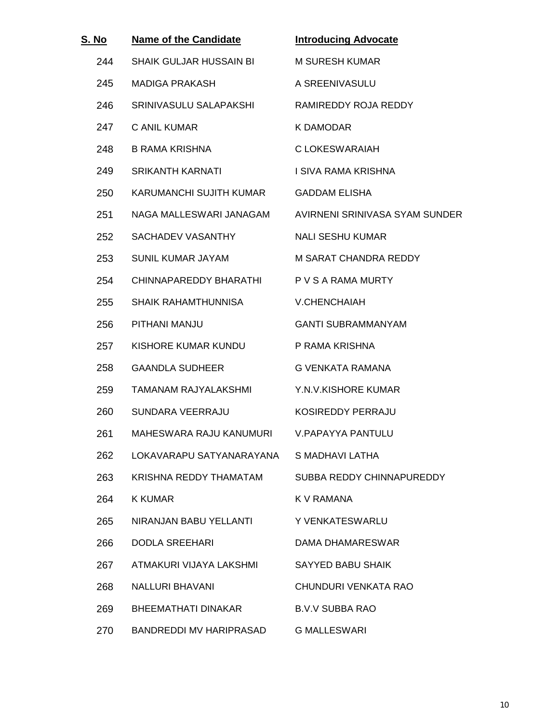| S. No | <b>Name of the Candidate</b>              | <b>Introducing Advocate</b>                            |
|-------|-------------------------------------------|--------------------------------------------------------|
| 244   | SHAIK GULJAR HUSSAIN BI                   | <b>M SURESH KUMAR</b>                                  |
| 245   | <b>MADIGA PRAKASH</b>                     | A SREENIVASULU                                         |
| 246   | SRINIVASULU SALAPAKSHI                    | RAMIREDDY ROJA REDDY                                   |
| 247   | C ANIL KUMAR                              | K DAMODAR                                              |
| 248   | B RAMA KRISHNA                            | C LOKESWARAIAH                                         |
| 249   | <b>SRIKANTH KARNATI</b>                   | I SIVA RAMA KRISHNA                                    |
| 250   | KARUMANCHI SUJITH KUMAR GADDAM ELISHA     |                                                        |
| 251   |                                           | NAGA MALLESWARI JANAGAM AVIRNENI SRINIVASA SYAM SUNDER |
| 252   | SACHADEV VASANTHY                         | <b>NALI SESHU KUMAR</b>                                |
| 253   | SUNIL KUMAR JAYAM                         | M SARAT CHANDRA REDDY                                  |
| 254   | CHINNAPAREDDY BHARATHI P V S A RAMA MURTY |                                                        |
| 255   | SHAIK RAHAMTHUNNISA                       | V.CHENCHAIAH                                           |
| 256   | PITHANI MANJU                             | <b>GANTI SUBRAMMANYAM</b>                              |
| 257   | KISHORE KUMAR KUNDU                       | P RAMA KRISHNA                                         |
| 258   | <b>GAANDLA SUDHEER</b>                    | G VENKATA RAMANA                                       |
| 259   | <b>TAMANAM RAJYALAKSHMI</b>               | Y.N.V.KISHORE KUMAR                                    |
| 260   | SUNDARA VEERRAJU                          | KOSIREDDY PERRAJU                                      |
| 261   | MAHESWARA RAJU KANUMURI                   | V.PAPAYYA PANTULU                                      |
| 262   | LOKAVARAPU SATYANARAYANA                  | S MADHAVI LATHA                                        |
| 263   | KRISHNA REDDY THAMATAM                    | SUBBA REDDY CHINNAPUREDDY                              |
| 264   | <b>K KUMAR</b>                            | <b>K V RAMANA</b>                                      |
| 265   | NIRANJAN BABU YELLANTI                    | Y VENKATESWARLU                                        |
| 266   | <b>DODLA SREEHARI</b>                     | DAMA DHAMARESWAR                                       |
| 267   | ATMAKURI VIJAYA LAKSHMI                   | SAYYED BABU SHAIK                                      |
| 268   | <b>NALLURI BHAVANI</b>                    | CHUNDURI VENKATA RAO                                   |
| 269   | BHEEMATHATI DINAKAR                       | <b>B.V.V SUBBA RAO</b>                                 |
| 270   | BANDREDDI MV HARIPRASAD                   | <b>G MALLESWARI</b>                                    |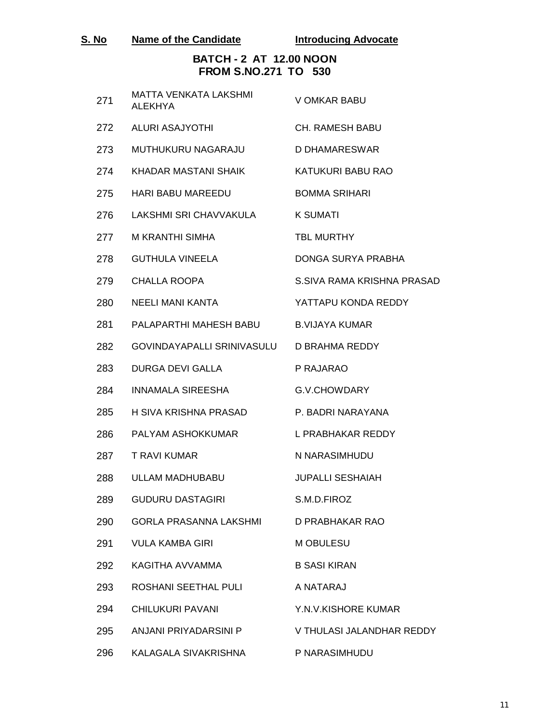| S. No | Name of the Candidate | <b>Introducing Advocate</b> |
|-------|-----------------------|-----------------------------|
|-------|-----------------------|-----------------------------|

## **BATCH - 2 AT 12.00 NOON FROM S.NO.271 TO 530**

| 271 | <b>MATTA VENKATA LAKSHMI</b><br><b>ALEKHYA</b> | V OMKAR BABU               |
|-----|------------------------------------------------|----------------------------|
| 272 | <b>ALURI ASAJYOTHI</b>                         | <b>CH. RAMESH BABU</b>     |
| 273 | MUTHUKURU NAGARAJU                             | D DHAMARESWAR              |
| 274 | KHADAR MASTANI SHAIK                           | KATUKURI BABU RAO          |
| 275 | <b>HARI BABU MAREEDU</b>                       | <b>BOMMA SRIHARI</b>       |
| 276 | LAKSHMI SRI CHAVVAKULA                         | <b>K SUMATI</b>            |
| 277 | M KRANTHI SIMHA                                | <b>TBL MURTHY</b>          |
| 278 | <b>GUTHULA VINEELA</b>                         | DONGA SURYA PRABHA         |
| 279 | <b>CHALLA ROOPA</b>                            | S.SIVA RAMA KRISHNA PRASAD |
| 280 | NEELI MANI KANTA                               | YATTAPU KONDA REDDY        |
| 281 | PALAPARTHI MAHESH BABU                         | <b>B.VIJAYA KUMAR</b>      |
| 282 | GOVINDAYAPALLI SRINIVASULU D BRAHMA REDDY      |                            |
| 283 | <b>DURGA DEVI GALLA</b>                        | P RAJARAO                  |
| 284 | <b>INNAMALA SIREESHA</b>                       | G.V.CHOWDARY               |
| 285 | H SIVA KRISHNA PRASAD                          | P. BADRI NARAYANA          |
| 286 | PALYAM ASHOKKUMAR                              | L PRABHAKAR REDDY          |
| 287 | <b>T RAVI KUMAR</b>                            | N NARASIMHUDU              |
| 288 | ULLAM MADHUBABU                                | <b>JUPALLI SESHAIAH</b>    |
| 289 | <b>GUDURU DASTAGIRI</b>                        | S.M.D.FIROZ                |
| 290 | GORLA PRASANNA LAKSHMI                         | D PRABHAKAR RAO            |
| 291 | <b>VULA KAMBA GIRI</b>                         | <b>M OBULESU</b>           |
| 292 | KAGITHA AVVAMMA                                | <b>B SASI KIRAN</b>        |
| 293 | ROSHANI SEETHAL PULI                           | A NATARAJ                  |
| 294 | <b>CHILUKURI PAVANI</b>                        | Y.N.V.KISHORE KUMAR        |
| 295 | ANJANI PRIYADARSINI P                          | V THULASI JALANDHAR REDDY  |
| 296 | KALAGALA SIVAKRISHNA                           | P NARASIMHUDU              |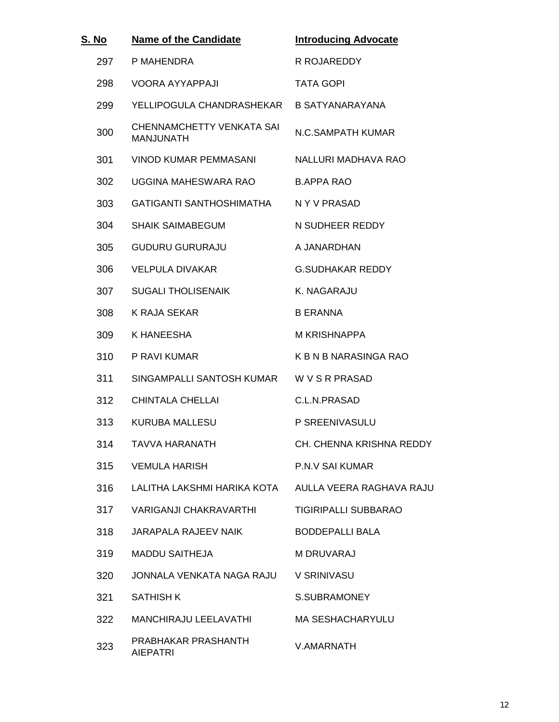| S. No | <b>Name of the Candidate</b>                  | <b>Introducing Advocate</b> |
|-------|-----------------------------------------------|-----------------------------|
| 297   | P MAHENDRA                                    | R ROJAREDDY                 |
| 298   | <b>VOORA AYYAPPAJI</b>                        | <b>TATA GOPI</b>            |
| 299   | YELLIPOGULA CHANDRASHEKAR B SATYANARAYANA     |                             |
| 300   | CHENNAMCHETTY VENKATA SAI<br><b>MANJUNATH</b> | N.C.SAMPATH KUMAR           |
| 301   | VINOD KUMAR PEMMASANI                         | NALLURI MADHAVA RAO         |
| 302   | UGGINA MAHESWARA RAO                          | <b>B.APPA RAO</b>           |
| 303   | GATIGANTI SANTHOSHIMATHA                      | N Y V PRASAD                |
| 304   | <b>SHAIK SAIMABEGUM</b>                       | N SUDHEER REDDY             |
| 305   | <b>GUDURU GURURAJU</b>                        | A JANARDHAN                 |
| 306   | <b>VELPULA DIVAKAR</b>                        | <b>G.SUDHAKAR REDDY</b>     |
| 307   | <b>SUGALI THOLISENAIK</b>                     | K. NAGARAJU                 |
| 308   | K RAJA SEKAR                                  | <b>B ERANNA</b>             |
| 309   | K HANEESHA                                    | <b>M KRISHNAPPA</b>         |
| 310   | P RAVI KUMAR                                  | K B N B NARASINGA RAO       |
| 311   | SINGAMPALLI SANTOSH KUMAR W V S R PRASAD      |                             |
| 312   | <b>CHINTALA CHELLAI</b>                       | C.L.N.PRASAD                |
| 313   | <b>KURUBA MALLESU</b>                         | P SREENIVASULU              |
| 314   | TAVVA HARANATH                                | CH. CHENNA KRISHNA REDDY    |
| 315   | <b>VEMULA HARISH</b>                          | P.N.V SAI KUMAR             |
| 316   | LALITHA LAKSHMI HARIKA KOTA                   | AULLA VEERA RAGHAVA RAJU    |
| 317   | <b>VARIGANJI CHAKRAVARTHI</b>                 | <b>TIGIRIPALLI SUBBARAO</b> |
| 318   | JARAPALA RAJEEV NAIK                          | <b>BODDEPALLI BALA</b>      |
| 319   | <b>MADDU SAITHEJA</b>                         | <b>M DRUVARAJ</b>           |
| 320   | JONNALA VENKATA NAGA RAJU                     | V SRINIVASU                 |
| 321   | <b>SATHISH K</b>                              | S.SUBRAMONEY                |
| 322   | MANCHIRAJU LEELAVATHI                         | <b>MA SESHACHARYULU</b>     |
| 323   | PRABHAKAR PRASHANTH<br><b>AIEPATRI</b>        | V.AMARNATH                  |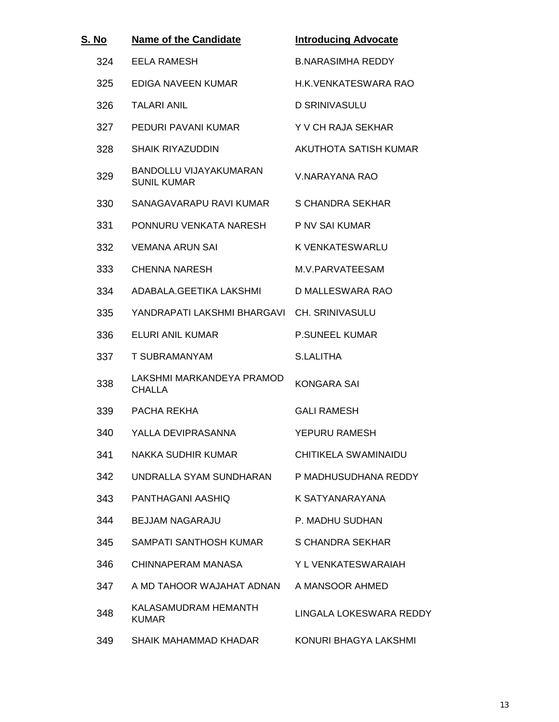| S. <u>No</u> | <b>Name of the Candidate</b>                        | <b>Introducing Advocate</b> |
|--------------|-----------------------------------------------------|-----------------------------|
| 324          | <b>EELA RAMESH</b>                                  | <b>B.NARASIMHA REDDY</b>    |
| 325          | EDIGA NAVEEN KUMAR                                  | H.K. VENKATESWARA RAO       |
| 326          | <b>TALARI ANIL</b>                                  | <b>D SRINIVASULU</b>        |
| 327          | PEDURI PAVANI KUMAR                                 | Y V CH RAJA SEKHAR          |
| 328          | <b>SHAIK RIYAZUDDIN</b>                             | AKUTHOTA SATISH KUMAR       |
| 329          | <b>BANDOLLU VIJAYAKUMARAN</b><br><b>SUNIL KUMAR</b> | V.NARAYANA RAO              |
| 330          | SANAGAVARAPU RAVI KUMAR                             | S CHANDRA SEKHAR            |
| 331          | PONNURU VENKATA NARESH                              | P NV SAI KUMAR              |
| 332          | <b>VEMANA ARUN SAI</b>                              | K VENKATESWARLU             |
| 333          | <b>CHENNA NARESH</b>                                | M.V.PARVATEESAM             |
| 334          | ADABALA.GEETIKA LAKSHMI                             | D MALLESWARA RAO            |
| 335          | YANDRAPATI LAKSHMI BHARGAVI CH. SRINIVASULU         |                             |
| 336          | <b>ELURI ANIL KUMAR</b>                             | <b>P.SUNEEL KUMAR</b>       |
| 337          | T SUBRAMANYAM                                       | <b>S.LALITHA</b>            |
| 338          | LAKSHMI MARKANDEYA PRAMOD<br><b>CHALLA</b>          | <b>KONGARA SAI</b>          |
| 339          | PACHA REKHA                                         | <b>GALI RAMESH</b>          |
| 340          | YALLA DEVIPRASANNA                                  | YEPURU RAMESH               |
| 341          | NAKKA SUDHIR KUMAR                                  | <b>CHITIKELA SWAMINAIDU</b> |
| 342          | UNDRALLA SYAM SUNDHARAN                             | P MADHUSUDHANA REDDY        |
| 343          | PANTHAGANI AASHIO                                   | K SATYANARAYANA             |
| 344          | <b>BEJJAM NAGARAJU</b>                              | P. MADHU SUDHAN             |
| 345          | SAMPATI SANTHOSH KUMAR                              | S CHANDRA SEKHAR            |
| 346          | CHINNAPERAM MANASA                                  | Y L VENKATESWARAIAH         |
| 347          | A MD TAHOOR WAJAHAT ADNAN                           | A MANSOOR AHMED             |
| 348          | KALASAMUDRAM HEMANTH<br><b>KUMAR</b>                | LINGALA LOKESWARA REDDY     |
| 349          | SHAIK MAHAMMAD KHADAR                               | KONURI BHAGYA LAKSHMI       |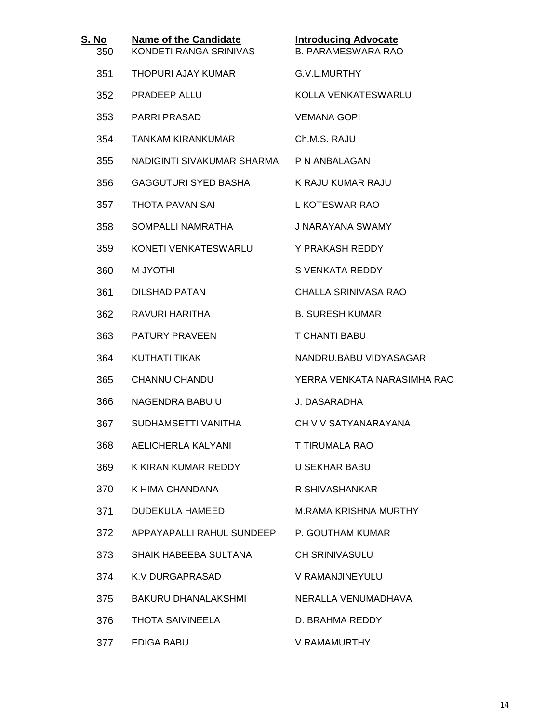| S. No<br>350 | <b>Name of the Candidate</b><br>KONDETI RANGA SRINIVAS | <b>Introducing Advocate</b><br><b>B. PARAMESWARA RAO</b> |
|--------------|--------------------------------------------------------|----------------------------------------------------------|
| 351          | THOPURI AJAY KUMAR                                     | G.V.L.MURTHY                                             |
| 352          | <b>PRADEEP ALLU</b>                                    | KOLLA VENKATESWARLU                                      |
| 353          | <b>PARRI PRASAD</b>                                    | <b>VEMANA GOPI</b>                                       |
| 354          | <b>TANKAM KIRANKUMAR</b>                               | Ch.M.S. RAJU                                             |
| 355          | NADIGINTI SIVAKUMAR SHARMA PN ANBALAGAN                |                                                          |
| 356          | <b>GAGGUTURI SYED BASHA</b>                            | K RAJU KUMAR RAJU                                        |
| 357          | THOTA PAVAN SAI                                        | L KOTESWAR RAO                                           |
| 358          | SOMPALLI NAMRATHA                                      | J NARAYANA SWAMY                                         |
| 359          | KONETI VENKATESWARLU                                   | Y PRAKASH REDDY                                          |
| 360          | <b>M JYOTHI</b>                                        | S VENKATA REDDY                                          |
| 361          | <b>DILSHAD PATAN</b>                                   | CHALLA SRINIVASA RAO                                     |
| 362          | RAVURI HARITHA                                         | <b>B. SURESH KUMAR</b>                                   |
| 363          | <b>PATURY PRAVEEN</b>                                  | T CHANTI BABU                                            |
| 364          | <b>KUTHATI TIKAK</b>                                   | NANDRU.BABU VIDYASAGAR                                   |
| 365          | <b>CHANNU CHANDU</b>                                   | YERRA VENKATA NARASIMHA RAO                              |
| 366          | NAGENDRA BABU U                                        | J. DASARADHA                                             |
| 367          | SUDHAMSETTI VANITHA                                    | CH V V SATYANARAYANA                                     |
| 368          | <b>AELICHERLA KALYANI</b>                              | T TIRUMALA RAO                                           |
| 369          | K KIRAN KUMAR REDDY                                    | U SEKHAR BABU                                            |
| 370          | K HIMA CHANDANA                                        | R SHIVASHANKAR                                           |
| 371          | <b>DUDEKULA HAMEED</b>                                 | <b>M.RAMA KRISHNA MURTHY</b>                             |
| 372          | APPAYAPALLI RAHUL SUNDEEP                              | P. GOUTHAM KUMAR                                         |
| 373          | SHAIK HABEEBA SULTANA                                  | <b>CH SRINIVASULU</b>                                    |
| 374          | K.V DURGAPRASAD                                        | V RAMANJINEYULU                                          |
| 375          | BAKURU DHANALAKSHMI                                    | NERALLA VENUMADHAVA                                      |
| 376          | <b>THOTA SAIVINEELA</b>                                | D. BRAHMA REDDY                                          |
| 377          | <b>EDIGA BABU</b>                                      | V RAMAMURTHY                                             |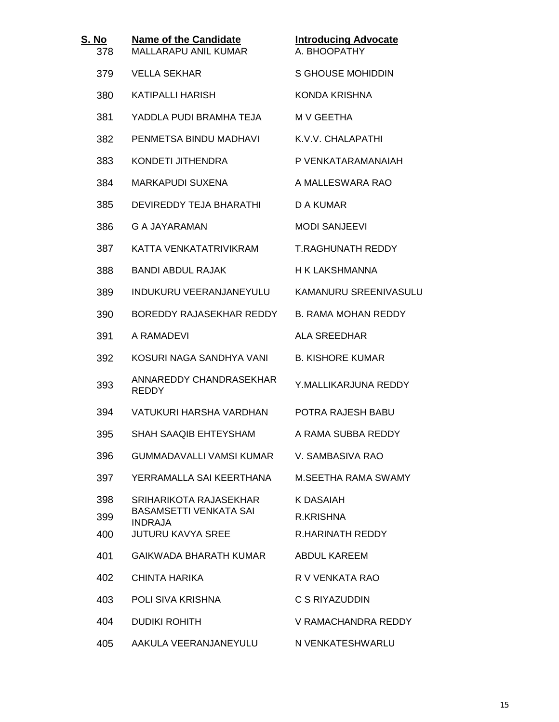| S. No<br>378 | <b>Name of the Candidate</b><br><b>MALLARAPU ANIL KUMAR</b> | <b>Introducing Advocate</b><br>A. BHOOPATHY |
|--------------|-------------------------------------------------------------|---------------------------------------------|
| 379          | <b>VELLA SEKHAR</b>                                         | S GHOUSE MOHIDDIN                           |
| 380          | <b>KATIPALLI HARISH</b>                                     | <b>KONDA KRISHNA</b>                        |
| 381          | YADDLA PUDI BRAMHA TEJA                                     | M V GEETHA                                  |
| 382          | PENMETSA BINDU MADHAVI                                      | K.V.V. CHALAPATHI                           |
| 383          | KONDETI JITHENDRA                                           | P VENKATARAMANAIAH                          |
| 384          | <b>MARKAPUDI SUXENA</b>                                     | A MALLESWARA RAO                            |
| 385          | DEVIREDDY TEJA BHARATHI                                     | D A KUMAR                                   |
| 386          | G A JAYARAMAN                                               | <b>MODI SANJEEVI</b>                        |
| 387          | KATTA VENKATATRIVIKRAM                                      | <b>T.RAGHUNATH REDDY</b>                    |
| 388          | <b>BANDI ABDUL RAJAK</b>                                    | H K LAKSHMANNA                              |
| 389          | <b>INDUKURU VEERANJANEYULU</b>                              | KAMANURU SREENIVASULU                       |
| 390          | BOREDDY RAJASEKHAR REDDY                                    | <b>B. RAMA MOHAN REDDY</b>                  |
| 391          | A RAMADEVI                                                  | ALA SREEDHAR                                |
| 392          | KOSURI NAGA SANDHYA VANI                                    | <b>B. KISHORE KUMAR</b>                     |
| 393          | ANNAREDDY CHANDRASEKHAR<br><b>REDDY</b>                     | Y.MALLIKARJUNA REDDY                        |
| 394          | VATUKURI HARSHA VARDHAN                                     | POTRA RAJESH BABU                           |
| 395          | SHAH SAAQIB EHTEYSHAM                                       | A RAMA SUBBA REDDY                          |
| 396          | GUMMADAVALLI VAMSI KUMAR                                    | V. SAMBASIVA RAO                            |
| 397          | YERRAMALLA SAI KEERTHANA                                    | M. SEETHA RAMA SWAMY                        |
| 398<br>399   | SRIHARIKOTA RAJASEKHAR<br><b>BASAMSETTI VENKATA SAI</b>     | K DASAIAH<br>R.KRISHNA                      |
| 400          | <b>INDRAJA</b><br><b>JUTURU KAVYA SREE</b>                  | <b>R.HARINATH REDDY</b>                     |
| 401          | <b>GAIKWADA BHARATH KUMAR</b>                               | <b>ABDUL KAREEM</b>                         |
| 402          | CHINTA HARIKA                                               | R V VENKATA RAO                             |
| 403          | POLI SIVA KRISHNA                                           | C S RIYAZUDDIN                              |
| 404          | <b>DUDIKI ROHITH</b>                                        | V RAMACHANDRA REDDY                         |
| 405          | AAKULA VEERANJANEYULU                                       | N VENKATESHWARLU                            |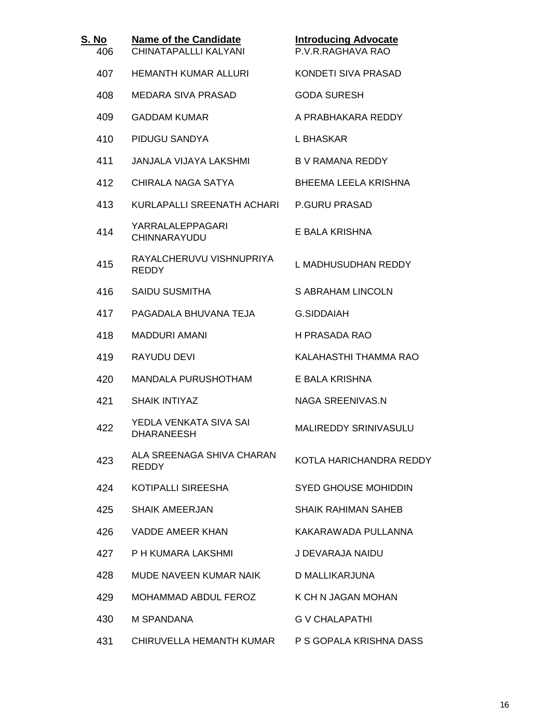| S. <u>No</u><br>406 | <b>Name of the Candidate</b><br>CHINATAPALLLI KALYANI | <b>Introducing Advocate</b><br>P.V.R.RAGHAVA RAO |  |
|---------------------|-------------------------------------------------------|--------------------------------------------------|--|
| 407                 | <b>HEMANTH KUMAR ALLURI</b>                           | KONDETI SIVA PRASAD                              |  |
| 408                 | MEDARA SIVA PRASAD                                    | <b>GODA SURESH</b>                               |  |
| 409                 | <b>GADDAM KUMAR</b>                                   | A PRABHAKARA REDDY                               |  |
| 410                 | PIDUGU SANDYA                                         | L BHASKAR                                        |  |
| 411                 | JANJALA VIJAYA LAKSHMI                                | <b>B V RAMANA REDDY</b>                          |  |
| 412                 | CHIRALA NAGA SATYA                                    | <b>BHEEMA LEELA KRISHNA</b>                      |  |
| 413                 | KURLAPALLI SREENATH ACHARI                            | <b>P.GURU PRASAD</b>                             |  |
| 414                 | YARRALALEPPAGARI<br>CHINNARAYUDU                      | E BALA KRISHNA                                   |  |
| 415                 | RAYALCHERUVU VISHNUPRIYA<br><b>REDDY</b>              | L MADHUSUDHAN REDDY                              |  |
| 416                 | <b>SAIDU SUSMITHA</b>                                 | S ABRAHAM LINCOLN                                |  |
| 417                 | PAGADALA BHUVANA TEJA                                 | <b>G.SIDDAIAH</b>                                |  |
| 418                 | <b>MADDURI AMANI</b>                                  | H PRASADA RAO                                    |  |
| 419                 | RAYUDU DEVI                                           | KALAHASTHI THAMMA RAO                            |  |
| 420                 | <b>MANDALA PURUSHOTHAM</b>                            | E BALA KRISHNA                                   |  |
| 421                 | <b>SHAIK INTIYAZ</b>                                  | <b>NAGA SREENIVAS.N</b>                          |  |
| 422                 | YEDLA VENKATA SIVA SAI<br><b>DHARANEESH</b>           | <b>MALIREDDY SRINIVASULU</b>                     |  |
| 423                 | ALA SREENAGA SHIVA CHARAN<br><b>REDDY</b>             | KOTLA HARICHANDRA REDDY                          |  |
| 424                 | KOTIPALLI SIREESHA                                    | <b>SYED GHOUSE MOHIDDIN</b>                      |  |
| 425                 | <b>SHAIK AMEERJAN</b>                                 | <b>SHAIK RAHIMAN SAHEB</b>                       |  |
| 426                 | VADDE AMEER KHAN                                      | KAKARAWADA PULLANNA                              |  |
| 427                 | P H KUMARA LAKSHMI                                    | J DEVARAJA NAIDU                                 |  |
| 428                 | MUDE NAVEEN KUMAR NAIK                                | D MALLIKARJUNA                                   |  |
| 429                 | MOHAMMAD ABDUL FEROZ                                  | K CH N JAGAN MOHAN                               |  |
| 430                 | M SPANDANA                                            | <b>G V CHALAPATHI</b>                            |  |
| 431                 | CHIRUVELLA HEMANTH KUMAR                              | P S GOPALA KRISHNA DASS                          |  |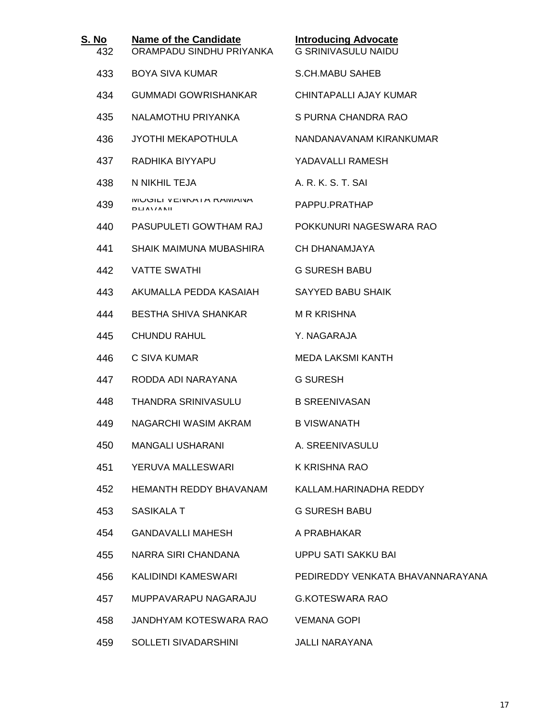| S. No<br>432 | <b>Name of the Candidate</b><br>ORAMPADU SINDHU PRIYANKA | <b>Introducing Advocate</b><br><b>G SRINIVASULU NAIDU</b> |
|--------------|----------------------------------------------------------|-----------------------------------------------------------|
| 433          | <b>BOYA SIVA KUMAR</b>                                   | <b>S.CH.MABU SAHEB</b>                                    |
| 434          | <b>GUMMADI GOWRISHANKAR</b>                              | CHINTAPALLI AJAY KUMAR                                    |
| 435          | NALAMOTHU PRIYANKA                                       | S PURNA CHANDRA RAO                                       |
| 436          | <b>JYOTHI MEKAPOTHULA</b>                                | NANDANAVANAM KIRANKUMAR                                   |
| 437          | RADHIKA BIYYAPU                                          | YADAVALLI RAMESH                                          |
| 438          | N NIKHIL TEJA                                            | A. R. K. S. T. SAI                                        |
| 439          | <b>UJILI VEINNATA RAIVIAINA</b><br><b>DUAVANIE</b>       | PAPPU.PRATHAP                                             |
| 440          | PASUPULETI GOWTHAM RAJ                                   | POKKUNURI NAGESWARA RAO                                   |
| 441          | SHAIK MAIMUNA MUBASHIRA                                  | CH DHANAMJAYA                                             |
| 442          | <b>VATTE SWATHI</b>                                      | <b>G SURESH BABU</b>                                      |
| 443          | AKUMALLA PEDDA KASAIAH                                   | <b>SAYYED BABU SHAIK</b>                                  |
| 444          | <b>BESTHA SHIVA SHANKAR</b>                              | <b>M R KRISHNA</b>                                        |
| 445          | <b>CHUNDU RAHUL</b>                                      | Y. NAGARAJA                                               |
| 446          | C SIVA KUMAR                                             | <b>MEDA LAKSMI KANTH</b>                                  |
| 447          | RODDA ADI NARAYANA                                       | <b>G SURESH</b>                                           |
| 448          | THANDRA SRINIVASULU                                      | <b>B SREENIVASAN</b>                                      |
| 449          | NAGARCHI WASIM AKRAM                                     | <b>B VISWANATH</b>                                        |
| 450          | <b>MANGALI USHARANI</b>                                  | A. SREENIVASULU                                           |
| 451          | YERUVA MALLESWARI                                        | K KRISHNA RAO                                             |
| 452          | <b>HEMANTH REDDY BHAVANAM</b>                            | KALLAM.HARINADHA REDDY                                    |
| 453          | SASIKALA T                                               | <b>G SURESH BABU</b>                                      |
| 454          | GANDAVALLI MAHESH                                        | A PRABHAKAR                                               |
| 455          | NARRA SIRI CHANDANA                                      | <b>UPPU SATI SAKKU BAI</b>                                |
| 456          | KALIDINDI KAMESWARI                                      | PEDIREDDY VENKATA BHAVANNARAYANA                          |
| 457          | MUPPAVARAPU NAGARAJU                                     | <b>G.KOTESWARA RAO</b>                                    |
| 458          | JANDHYAM KOTESWARA RAO                                   | <b>VEMANA GOPI</b>                                        |
| 459          | SOLLETI SIVADARSHINI                                     | JALLI NARAYANA                                            |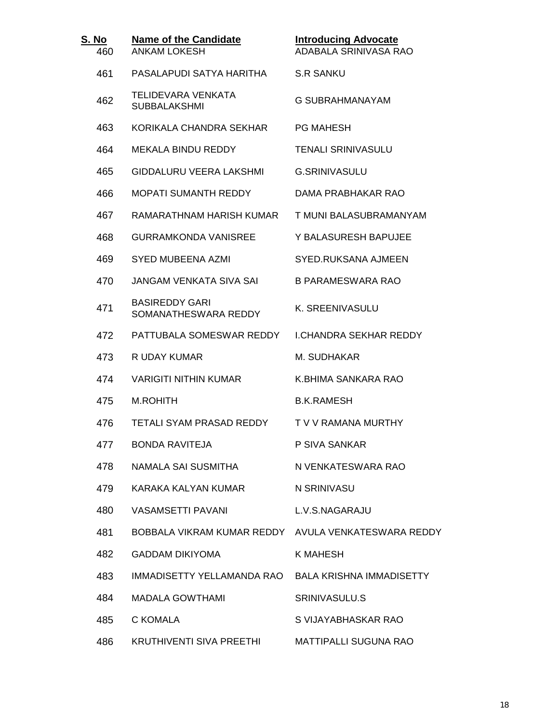| S. No<br>460 | <b>Name of the Candidate</b><br><b>ANKAM LOKESH</b> | <b>Introducing Advocate</b><br>ADABALA SRINIVASA RAO |
|--------------|-----------------------------------------------------|------------------------------------------------------|
| 461          | PASALAPUDI SATYA HARITHA                            | <b>S.R SANKU</b>                                     |
| 462          | TELIDEVARA VENKATA<br><b>SUBBALAKSHMI</b>           | <b>G SUBRAHMANAYAM</b>                               |
| 463          | KORIKALA CHANDRA SEKHAR                             | <b>PG MAHESH</b>                                     |
| 464          | <b>MEKALA BINDU REDDY</b>                           | <b>TENALI SRINIVASULU</b>                            |
| 465          | GIDDALURU VEERA LAKSHMI                             | G.SRINIVASULU                                        |
| 466          | <b>MOPATI SUMANTH REDDY</b>                         | DAMA PRABHAKAR RAO                                   |
| 467          | RAMARATHNAM HARISH KUMAR                            | T MUNI BALASUBRAMANYAM                               |
| 468          | <b>GURRAMKONDA VANISREE</b>                         | Y BALASURESH BAPUJEE                                 |
| 469          | SYED MUBEENA AZMI                                   | SYED.RUKSANA AJMEEN                                  |
| 470          | JANGAM VENKATA SIVA SAI                             | <b>B PARAMESWARA RAO</b>                             |
| 471          | <b>BASIREDDY GARI</b><br>SOMANATHESWARA REDDY       | K. SREENIVASULU                                      |
| 472          | PATTUBALA SOMESWAR REDDY                            | <b>LCHANDRA SEKHAR REDDY</b>                         |
| 473          | R UDAY KUMAR                                        | M. SUDHAKAR                                          |
| 474          | <b>VARIGITI NITHIN KUMAR</b>                        | K.BHIMA SANKARA RAO                                  |
| 475          | <b>M.ROHITH</b>                                     | <b>B.K.RAMESH</b>                                    |
| 476          | TETALI SYAM PRASAD REDDY                            | T V V RAMANA MURTHY                                  |
| 477          | <b>BONDA RAVITEJA</b>                               | P SIVA SANKAR                                        |
| 478          | NAMALA SAI SUSMITHA                                 | N VENKATESWARA RAO                                   |
| 479          | KARAKA KALYAN KUMAR                                 | N SRINIVASU                                          |
| 480          | <b>VASAMSETTI PAVANI</b>                            | L.V.S.NAGARAJU                                       |
| 481          | BOBBALA VIKRAM KUMAR REDDY                          | AVULA VENKATESWARA REDDY                             |
| 482          | <b>GADDAM DIKIYOMA</b>                              | K MAHESH                                             |
| 483          | IMMADISETTY YELLAMANDA RAO                          | <b>BALA KRISHNA IMMADISETTY</b>                      |
| 484          | <b>MADALA GOWTHAMI</b>                              | SRINIVASULU.S                                        |
| 485          | C KOMALA                                            | S VIJAYABHASKAR RAO                                  |
| 486          | KRUTHIVENTI SIVA PREETHI                            | <b>MATTIPALLI SUGUNA RAO</b>                         |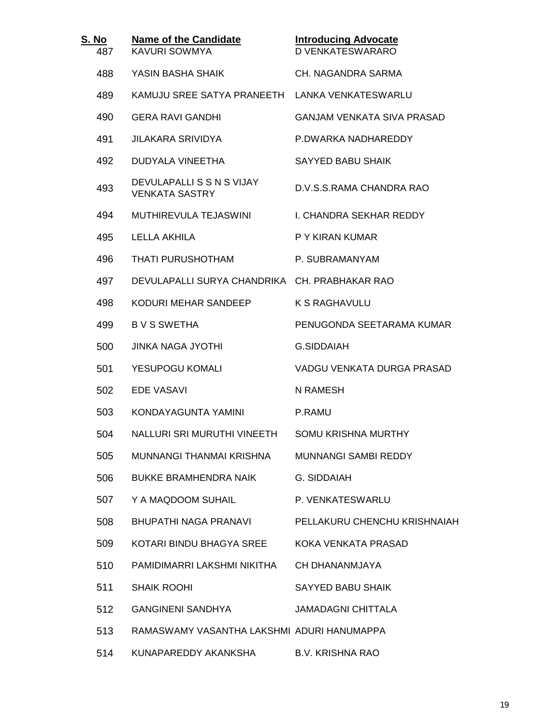| <u>S. No</u><br>487 | <b>Name of the Candidate</b><br><b>KAVURI SOWMYA</b> | <b>Introducing Advocate</b><br><b>D VENKATESWARARO</b> |
|---------------------|------------------------------------------------------|--------------------------------------------------------|
| 488                 | YASIN BASHA SHAIK                                    | CH. NAGANDRA SARMA                                     |
| 489                 | KAMUJU SREE SATYA PRANEETH LANKA VENKATESWARLU       |                                                        |
| 490                 | <b>GERA RAVI GANDHI</b>                              | GANJAM VENKATA SIVA PRASAD                             |
| 491                 | <b>JILAKARA SRIVIDYA</b>                             | P.DWARKA NADHAREDDY                                    |
| 492                 | DUDYALA VINEETHA                                     | <b>SAYYED BABU SHAIK</b>                               |
| 493                 | DEVULAPALLI S S N S VIJAY<br><b>VENKATA SASTRY</b>   | D.V.S.S.RAMA CHANDRA RAO                               |
| 494                 | MUTHIREVULA TEJASWINI                                | I. CHANDRA SEKHAR REDDY                                |
| 495                 | LELLA AKHILA                                         | P Y KIRAN KUMAR                                        |
| 496                 | <b>THATI PURUSHOTHAM</b>                             | P. SUBRAMANYAM                                         |
| 497                 | DEVULAPALLI SURYA CHANDRIKA CH. PRABHAKAR RAO        |                                                        |
| 498                 | KODURI MEHAR SANDEEP                                 | K S RAGHAVULU                                          |
| 499                 | <b>BVS SWETHA</b>                                    | PENUGONDA SEETARAMA KUMAR                              |
| 500                 | JINKA NAGA JYOTHI                                    | G.SIDDAIAH                                             |
| 501                 | YESUPOGU KOMALI                                      | VADGU VENKATA DURGA PRASAD                             |
| 502                 | <b>EDE VASAVI</b>                                    | N RAMESH                                               |
| 503                 | KONDAYAGUNTA YAMINI                                  | P.RAMU                                                 |
| 504                 | NALLURI SRI MURUTHI VINEETH                          | <b>SOMU KRISHNA MURTHY</b>                             |
| 505                 | MUNNANGI THANMAI KRISHNA                             | MUNNANGI SAMBI REDDY                                   |
| 506                 | <b>BUKKE BRAMHENDRA NAIK</b>                         | G. SIDDAIAH                                            |
| 507                 | Y A MAQDOOM SUHAIL                                   | P. VENKATESWARLU                                       |
| 508                 | BHUPATHI NAGA PRANAVI                                | PELLAKURU CHENCHU KRISHNAIAH                           |
| 509                 | KOTARI BINDU BHAGYA SREE                             | KOKA VENKATA PRASAD                                    |
| 510                 | PAMIDIMARRI LAKSHMI NIKITHA                          | CH DHANANMJAYA                                         |
| 511                 | <b>SHAIK ROOHI</b>                                   | SAYYED BABU SHAIK                                      |
| 512                 | <b>GANGINENI SANDHYA</b>                             | <b>JAMADAGNI CHITTALA</b>                              |
| 513                 | RAMASWAMY VASANTHA LAKSHMI ADURI HANUMAPPA           |                                                        |
| 514                 | KUNAPAREDDY AKANKSHA                                 | <b>B.V. KRISHNA RAO</b>                                |